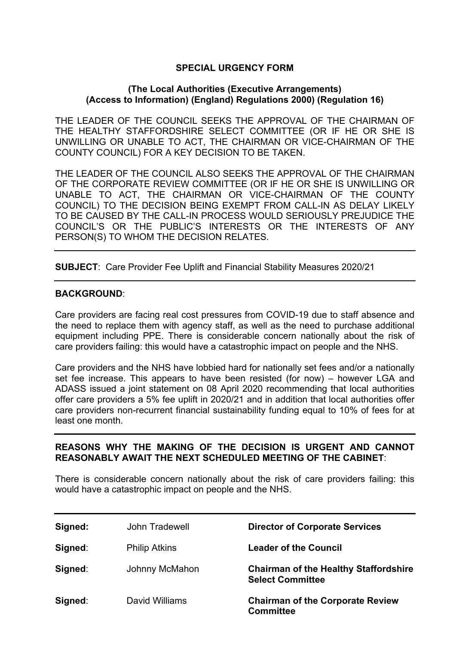## **SPECIAL URGENCY FORM**

## **(The Local Authorities (Executive Arrangements) (Access to Information) (England) Regulations 2000) (Regulation 16)**

THE LEADER OF THE COUNCIL SEEKS THE APPROVAL OF THE CHAIRMAN OF THE HEALTHY STAFFORDSHIRE SELECT COMMITTEE (OR IF HE OR SHE IS UNWILLING OR UNABLE TO ACT, THE CHAIRMAN OR VICE-CHAIRMAN OF THE COUNTY COUNCIL) FOR A KEY DECISION TO BE TAKEN.

THE LEADER OF THE COUNCIL ALSO SEEKS THE APPROVAL OF THE CHAIRMAN OF THE CORPORATE REVIEW COMMITTEE (OR IF HE OR SHE IS UNWILLING OR UNABLE TO ACT, THE CHAIRMAN OR VICE-CHAIRMAN OF THE COUNTY COUNCIL) TO THE DECISION BEING EXEMPT FROM CALL-IN AS DELAY LIKELY TO BE CAUSED BY THE CALL-IN PROCESS WOULD SERIOUSLY PREJUDICE THE COUNCIL'S OR THE PUBLIC'S INTERESTS OR THE INTERESTS OF ANY PERSON(S) TO WHOM THE DECISION RELATES.

**SUBJECT**: Care Provider Fee Uplift and Financial Stability Measures 2020/21

## **BACKGROUND**:

Care providers are facing real cost pressures from COVID-19 due to staff absence and the need to replace them with agency staff, as well as the need to purchase additional equipment including PPE. There is considerable concern nationally about the risk of care providers failing: this would have a catastrophic impact on people and the NHS.

Care providers and the NHS have lobbied hard for nationally set fees and/or a nationally set fee increase. This appears to have been resisted (for now) – however LGA and ADASS issued a joint statement on 08 April 2020 recommending that local authorities offer care providers a 5% fee uplift in 2020/21 and in addition that local authorities offer care providers non-recurrent financial sustainability funding equal to 10% of fees for at least one month.

## **REASONS WHY THE MAKING OF THE DECISION IS URGENT AND CANNOT REASONABLY AWAIT THE NEXT SCHEDULED MEETING OF THE CABINET**:

There is considerable concern nationally about the risk of care providers failing: this would have a catastrophic impact on people and the NHS.

| Signed: | John Tradewell       | <b>Director of Corporate Services</b>                                   |
|---------|----------------------|-------------------------------------------------------------------------|
| Signed: | <b>Philip Atkins</b> | <b>Leader of the Council</b>                                            |
| Signed: | Johnny McMahon       | <b>Chairman of the Healthy Staffordshire</b><br><b>Select Committee</b> |
| Signed: | David Williams       | <b>Chairman of the Corporate Review</b><br><b>Committee</b>             |